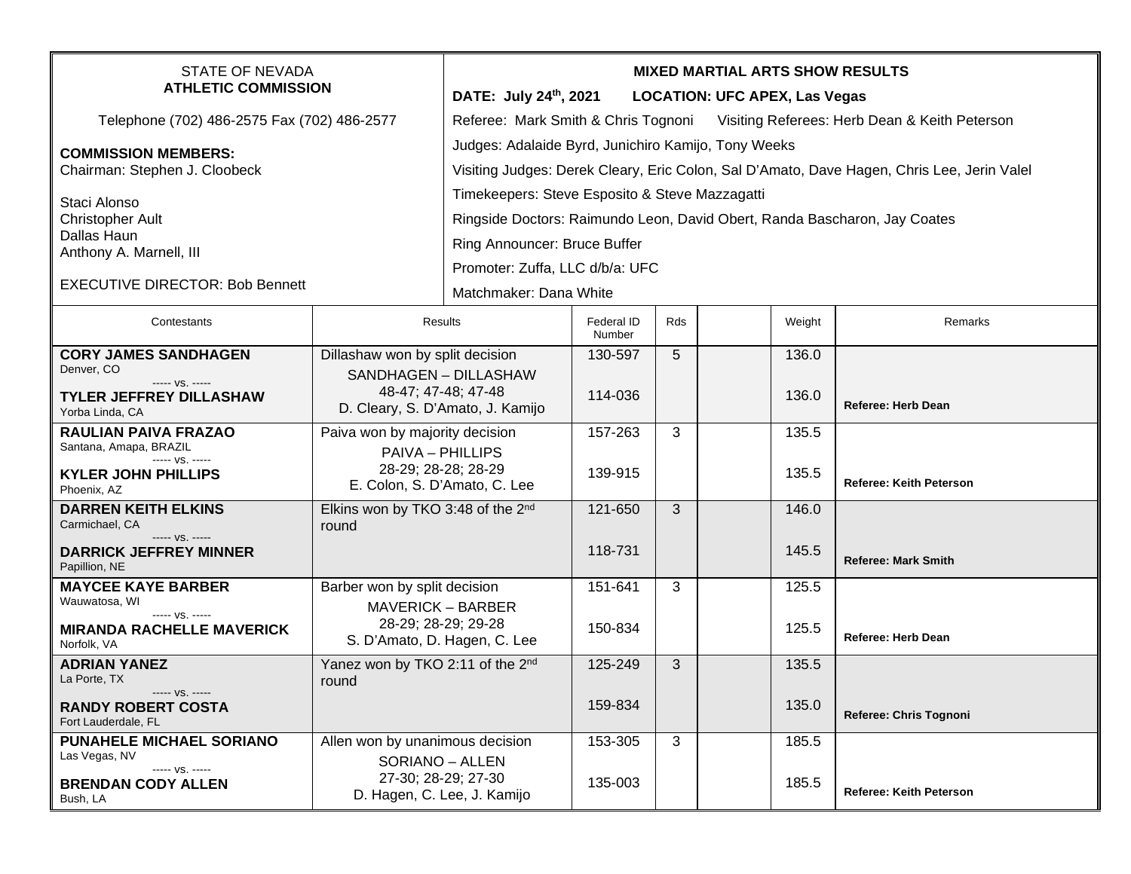| <b>STATE OF NEVADA</b><br><b>ATHLETIC COMMISSION</b>        |                                                 | <b>MIXED MARTIAL ARTS SHOW RESULTS</b>                                                     |                             |     |  |        |                                |  |
|-------------------------------------------------------------|-------------------------------------------------|--------------------------------------------------------------------------------------------|-----------------------------|-----|--|--------|--------------------------------|--|
|                                                             |                                                 | DATE: July 24th, 2021<br><b>LOCATION: UFC APEX, Las Vegas</b>                              |                             |     |  |        |                                |  |
| Telephone (702) 486-2575 Fax (702) 486-2577                 |                                                 | Referee: Mark Smith & Chris Tognoni Visiting Referees: Herb Dean & Keith Peterson          |                             |     |  |        |                                |  |
| <b>COMMISSION MEMBERS:</b><br>Chairman: Stephen J. Cloobeck |                                                 | Judges: Adalaide Byrd, Junichiro Kamijo, Tony Weeks                                        |                             |     |  |        |                                |  |
|                                                             |                                                 | Visiting Judges: Derek Cleary, Eric Colon, Sal D'Amato, Dave Hagen, Chris Lee, Jerin Valel |                             |     |  |        |                                |  |
| Staci Alonso                                                |                                                 | Timekeepers: Steve Esposito & Steve Mazzagatti                                             |                             |     |  |        |                                |  |
| <b>Christopher Ault</b>                                     |                                                 | Ringside Doctors: Raimundo Leon, David Obert, Randa Bascharon, Jay Coates                  |                             |     |  |        |                                |  |
| Dallas Haun                                                 |                                                 | Ring Announcer: Bruce Buffer                                                               |                             |     |  |        |                                |  |
| Anthony A. Marnell, III                                     |                                                 | Promoter: Zuffa, LLC d/b/a: UFC                                                            |                             |     |  |        |                                |  |
| <b>EXECUTIVE DIRECTOR: Bob Bennett</b>                      |                                                 |                                                                                            |                             |     |  |        |                                |  |
|                                                             |                                                 | Matchmaker: Dana White                                                                     |                             |     |  |        |                                |  |
| Contestants                                                 | Results                                         |                                                                                            | <b>Federal ID</b><br>Number | Rds |  | Weight | Remarks                        |  |
| <b>CORY JAMES SANDHAGEN</b>                                 | Dillashaw won by split decision                 |                                                                                            | 130-597                     | 5   |  | 136.0  |                                |  |
| Denver, CO<br>----- VS. -----                               | 48-47; 47-48; 47-48                             | SANDHAGEN - DILLASHAW                                                                      |                             |     |  |        |                                |  |
| <b>TYLER JEFFREY DILLASHAW</b><br>Yorba Linda, CA           | D. Cleary, S. D'Amato, J. Kamijo                |                                                                                            | 114-036                     |     |  | 136.0  | <b>Referee: Herb Dean</b>      |  |
| <b>RAULIAN PAIVA FRAZAO</b>                                 | Paiva won by majority decision                  |                                                                                            | 157-263                     | 3   |  | 135.5  |                                |  |
| Santana, Amapa, BRAZIL                                      | <b>PAIVA - PHILLIPS</b>                         |                                                                                            |                             |     |  |        |                                |  |
| ----- VS. -----<br><b>KYLER JOHN PHILLIPS</b>               |                                                 | 28-29; 28-28; 28-29                                                                        | 139-915                     |     |  | 135.5  |                                |  |
| Phoenix, AZ                                                 | E. Colon, S. D'Amato, C. Lee                    |                                                                                            |                             |     |  |        | <b>Referee: Keith Peterson</b> |  |
| <b>DARREN KEITH ELKINS</b><br>Carmichael, CA                | Elkins won by TKO 3:48 of the 2nd               |                                                                                            | 121-650                     | 3   |  | 146.0  |                                |  |
| ----- VS. -----                                             | round                                           |                                                                                            |                             |     |  |        |                                |  |
| <b>DARRICK JEFFREY MINNER</b><br>Papillion, NE              |                                                 |                                                                                            | 118-731                     |     |  | 145.5  | <b>Referee: Mark Smith</b>     |  |
| <b>MAYCEE KAYE BARBER</b>                                   | Barber won by split decision                    |                                                                                            | 151-641                     | 3   |  | 125.5  |                                |  |
| Wauwatosa, WI<br>----- VS. -----                            | <b>MAVERICK - BARBER</b><br>28-29; 28-29; 29-28 |                                                                                            |                             |     |  |        |                                |  |
| <b>MIRANDA RACHELLE MAVERICK</b><br>Norfolk, VA             | S. D'Amato, D. Hagen, C. Lee                    |                                                                                            | 150-834                     |     |  | 125.5  | <b>Referee: Herb Dean</b>      |  |
| <b>ADRIAN YANEZ</b>                                         | Yanez won by TKO 2:11 of the 2 <sup>nd</sup>    |                                                                                            | 125-249                     | 3   |  | 135.5  |                                |  |
| La Porte, TX                                                | round                                           |                                                                                            |                             |     |  |        |                                |  |
| <b>RANDY ROBERT COSTA</b><br>Fort Lauderdale, FL            | ----- VS. -----                                 |                                                                                            | 159-834                     |     |  | 135.0  | Referee: Chris Tognoni         |  |
| PUNAHELE MICHAEL SORIANO                                    | Allen won by unanimous decision                 |                                                                                            | 153-305                     | 3   |  | 185.5  |                                |  |
| Las Vegas, NV                                               | SORIANO - ALLEN                                 |                                                                                            |                             |     |  |        |                                |  |
| ----- VS. -----<br><b>BRENDAN CODY ALLEN</b>                |                                                 | 27-30; 28-29; 27-30                                                                        | 135-003                     |     |  | 185.5  |                                |  |
| Bush, LA                                                    |                                                 | D. Hagen, C. Lee, J. Kamijo                                                                |                             |     |  |        | Referee: Keith Peterson        |  |